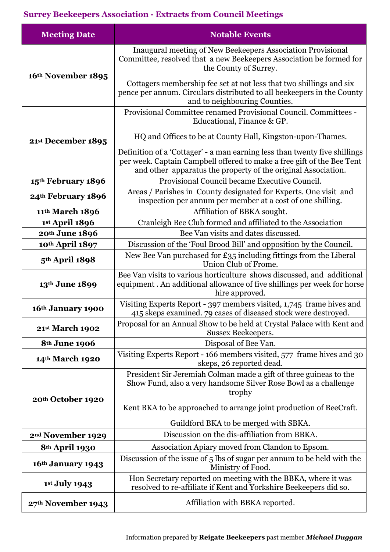## **Surrey Beekeepers Association - Extracts from Council Meetings**

| <b>Meeting Date</b>           | <b>Notable Events</b>                                                                                                                                                                                                 |
|-------------------------------|-----------------------------------------------------------------------------------------------------------------------------------------------------------------------------------------------------------------------|
| 16th November 1895            | Inaugural meeting of New Beekeepers Association Provisional<br>Committee, resolved that a new Beekeepers Association be formed for<br>the County of Surrey.                                                           |
|                               | Cottagers membership fee set at not less that two shillings and six<br>pence per annum. Circulars distributed to all beekeepers in the County<br>and to neighbouring Counties.                                        |
|                               | Provisional Committee renamed Provisional Council. Committees -<br>Educational, Finance & GP.                                                                                                                         |
| 21st December 1895            | HQ and Offices to be at County Hall, Kingston-upon-Thames.                                                                                                                                                            |
|                               | Definition of a 'Cottager' - a man earning less than twenty five shillings<br>per week. Captain Campbell offered to make a free gift of the Bee Tent<br>and other apparatus the property of the original Association. |
| 15th February 1896            | Provisional Council became Executive Council.                                                                                                                                                                         |
| 24th February 1896            | Areas / Parishes in County designated for Experts. One visit and<br>inspection per annum per member at a cost of one shilling.                                                                                        |
| 11th March 1896               | Affiliation of BBKA sought.                                                                                                                                                                                           |
| 1st April 1896                | Cranleigh Bee Club formed and affiliated to the Association                                                                                                                                                           |
| 20th June 1896                | Bee Van visits and dates discussed.                                                                                                                                                                                   |
| 10th April 1897               | Discussion of the 'Foul Brood Bill' and opposition by the Council.                                                                                                                                                    |
| 5 <sup>th</sup> April 1898    | New Bee Van purchased for £35 including fittings from the Liberal<br>Union Club of Frome.                                                                                                                             |
| 13th June 1899                | Bee Van visits to various horticulture shows discussed, and additional<br>equipment. An additional allowance of five shillings per week for horse<br>hire approved.                                                   |
| 16th January 1900             | Visiting Experts Report - 397 members visited, 1,745 frame hives and<br>415 skeps examined. 79 cases of diseased stock were destroyed.                                                                                |
| 21st March 1902               | Proposal for an Annual Show to be held at Crystal Palace with Kent and<br>Sussex Beekeepers.                                                                                                                          |
| 8 <sup>th</sup> June 1906     | Disposal of Bee Van.                                                                                                                                                                                                  |
| 14th March 1920               | Visiting Experts Report - 166 members visited, 577 frame hives and 30<br>skeps, 26 reported dead.                                                                                                                     |
| 20th October 1920             | President Sir Jeremiah Colman made a gift of three guineas to the<br>Show Fund, also a very handsome Silver Rose Bowl as a challenge<br>trophy                                                                        |
|                               | Kent BKA to be approached to arrange joint production of BeeCraft.                                                                                                                                                    |
|                               | Guildford BKA to be merged with SBKA.                                                                                                                                                                                 |
| 2 <sup>nd</sup> November 1929 | Discussion on the dis-affiliation from BBKA.                                                                                                                                                                          |
| 8 <sup>th</sup> April 1930    | Association Apiary moved from Clandon to Epsom.                                                                                                                                                                       |
| 16th January 1943             | Discussion of the issue of 5 lbs of sugar per annum to be held with the<br>Ministry of Food.                                                                                                                          |
| 1st July 1943                 | Hon Secretary reported on meeting with the BBKA, where it was<br>resolved to re-affiliate if Kent and Yorkshire Beekeepers did so.                                                                                    |
| 27th November 1943            | Affiliation with BBKA reported.                                                                                                                                                                                       |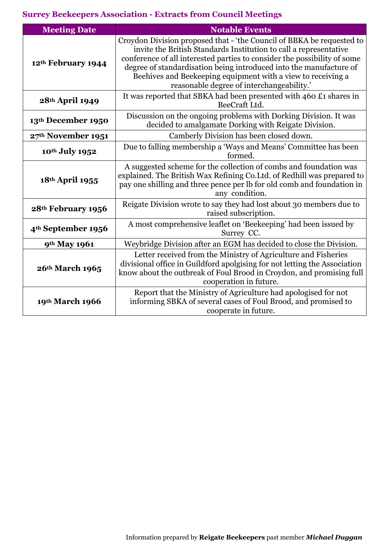## **Surrey Beekeepers Association - Extracts from Council Meetings**

| <b>Meeting Date</b>            | <b>Notable Events</b>                                                                                                                                                                                                                                                                                                                                                                                     |
|--------------------------------|-----------------------------------------------------------------------------------------------------------------------------------------------------------------------------------------------------------------------------------------------------------------------------------------------------------------------------------------------------------------------------------------------------------|
| 12th February 1944             | Croydon Division proposed that - 'the Council of BBKA be requested to<br>invite the British Standards Institution to call a representative<br>conference of all interested parties to consider the possibility of some<br>degree of standardisation being introduced into the manufacture of<br>Beehives and Beekeeping equipment with a view to receiving a<br>reasonable degree of interchangeability.' |
| 28th April 1949                | It was reported that SBKA had been presented with 460 £1 shares in<br>BeeCraft Ltd.                                                                                                                                                                                                                                                                                                                       |
| 13th December 1950             | Discussion on the ongoing problems with Dorking Division. It was<br>decided to amalgamate Dorking with Reigate Division.                                                                                                                                                                                                                                                                                  |
| 27th November 1951             | Camberly Division has been closed down.                                                                                                                                                                                                                                                                                                                                                                   |
| 10th July 1952                 | Due to falling membership a 'Ways and Means' Committee has been<br>formed.                                                                                                                                                                                                                                                                                                                                |
| 18th April 1955                | A suggested scheme for the collection of combs and foundation was<br>explained. The British Wax Refining Co. Ltd. of Redhill was prepared to<br>pay one shilling and three pence per lb for old comb and foundation in<br>any condition.                                                                                                                                                                  |
| 28th February 1956             | Reigate Division wrote to say they had lost about 30 members due to<br>raised subscription.                                                                                                                                                                                                                                                                                                               |
| 4 <sup>th</sup> September 1956 | A most comprehensive leaflet on 'Beekeeping' had been issued by<br>Surrey CC.                                                                                                                                                                                                                                                                                                                             |
| 9th May 1961                   | Weybridge Division after an EGM has decided to close the Division.                                                                                                                                                                                                                                                                                                                                        |
| 26th March 1965                | Letter received from the Ministry of Agriculture and Fisheries<br>divisional office in Guildford apolgising for not letting the Association<br>know about the outbreak of Foul Brood in Croydon, and promising full<br>cooperation in future.                                                                                                                                                             |
| 19th March 1966                | Report that the Ministry of Agriculture had apologised for not<br>informing SBKA of several cases of Foul Brood, and promised to<br>cooperate in future.                                                                                                                                                                                                                                                  |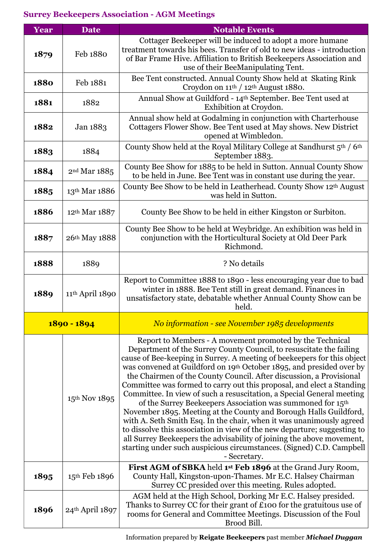| Year | <b>Date</b>              | <b>Notable Events</b>                                                                                                                                                                                                                                                                                                                                                                                                                                                                                                                                                                                                                                                                                                                                                                                                                                                                                                                                               |
|------|--------------------------|---------------------------------------------------------------------------------------------------------------------------------------------------------------------------------------------------------------------------------------------------------------------------------------------------------------------------------------------------------------------------------------------------------------------------------------------------------------------------------------------------------------------------------------------------------------------------------------------------------------------------------------------------------------------------------------------------------------------------------------------------------------------------------------------------------------------------------------------------------------------------------------------------------------------------------------------------------------------|
| 1879 | Feb 1880                 | Cottager Beekeeper will be induced to adopt a more humane<br>treatment towards his bees. Transfer of old to new ideas - introduction<br>of Bar Frame Hive. Affiliation to British Beekeepers Association and<br>use of their BeeManipulating Tent.                                                                                                                                                                                                                                                                                                                                                                                                                                                                                                                                                                                                                                                                                                                  |
| 1880 | Feb 1881                 | Bee Tent constructed. Annual County Show held at Skating Rink<br>Croydon on 11 <sup>th</sup> / 12 <sup>th</sup> August 1880.                                                                                                                                                                                                                                                                                                                                                                                                                                                                                                                                                                                                                                                                                                                                                                                                                                        |
| 1881 | 1882                     | Annual Show at Guildford - 14th September. Bee Tent used at<br>Exhibition at Croydon.                                                                                                                                                                                                                                                                                                                                                                                                                                                                                                                                                                                                                                                                                                                                                                                                                                                                               |
| 1882 | Jan 1883                 | Annual show held at Godalming in conjunction with Charterhouse<br>Cottagers Flower Show. Bee Tent used at May shows. New District<br>opened at Wimbledon.                                                                                                                                                                                                                                                                                                                                                                                                                                                                                                                                                                                                                                                                                                                                                                                                           |
| 1883 | 1884                     | County Show held at the Royal Military College at Sandhurst 5th / 6th<br>September 1883.                                                                                                                                                                                                                                                                                                                                                                                                                                                                                                                                                                                                                                                                                                                                                                                                                                                                            |
| 1884 | 2 <sup>nd</sup> Mar 1885 | County Bee Show for 1885 to be held in Sutton. Annual County Show<br>to be held in June. Bee Tent was in constant use during the year.                                                                                                                                                                                                                                                                                                                                                                                                                                                                                                                                                                                                                                                                                                                                                                                                                              |
| 1885 | 13th Mar 1886            | County Bee Show to be held in Leatherhead. County Show 12th August<br>was held in Sutton.                                                                                                                                                                                                                                                                                                                                                                                                                                                                                                                                                                                                                                                                                                                                                                                                                                                                           |
| 1886 | 12th Mar 1887            | County Bee Show to be held in either Kingston or Surbiton.                                                                                                                                                                                                                                                                                                                                                                                                                                                                                                                                                                                                                                                                                                                                                                                                                                                                                                          |
| 1887 | 26th May 1888            | County Bee Show to be held at Weybridge. An exhibition was held in<br>conjunction with the Horticultural Society at Old Deer Park<br>Richmond.                                                                                                                                                                                                                                                                                                                                                                                                                                                                                                                                                                                                                                                                                                                                                                                                                      |
| 1888 | 1889                     | ? No details                                                                                                                                                                                                                                                                                                                                                                                                                                                                                                                                                                                                                                                                                                                                                                                                                                                                                                                                                        |
| 1889 | 11th April 1890          | Report to Committee 1888 to 1890 - less encouraging year due to bad<br>winter in 1888. Bee Tent still in great demand. Finances in<br>unsatisfactory state, debatable whether Annual County Show can be<br>held.                                                                                                                                                                                                                                                                                                                                                                                                                                                                                                                                                                                                                                                                                                                                                    |
|      | 1890 - 1894              | No information - see November 1985 developments                                                                                                                                                                                                                                                                                                                                                                                                                                                                                                                                                                                                                                                                                                                                                                                                                                                                                                                     |
|      | 15th Nov 1895            | Report to Members - A movement promoted by the Technical<br>Department of the Surrey County Council, to resuscitate the failing<br>cause of Bee-keeping in Surrey. A meeting of beekeepers for this object<br>was convened at Guildford on 19th October 1895, and presided over by<br>the Chairmen of the County Council. After discussion, a Provisional<br>Committee was formed to carry out this proposal, and elect a Standing<br>Committee. In view of such a resuscitation, a Special General meeting<br>of the Surrey Beekeepers Association was summoned for 15th<br>November 1895. Meeting at the County and Borough Halls Guildford,<br>with A. Seth Smith Esq. In the chair, when it was unanimously agreed<br>to dissolve this association in view of the new departure; suggesting to<br>all Surrey Beekeepers the advisability of joining the above movement,<br>starting under such auspicious circumstances. (Signed) C.D. Campbell<br>- Secretary. |
| 1895 | 15th Feb 1896            | First AGM of SBKA held 1st Feb 1896 at the Grand Jury Room,<br>County Hall, Kingston-upon-Thames. Mr E.C. Halsey Chairman<br>Surrey CC presided over this meeting. Rules adopted.                                                                                                                                                                                                                                                                                                                                                                                                                                                                                                                                                                                                                                                                                                                                                                                   |
| 1896 | 24th April 1897          | AGM held at the High School, Dorking Mr E.C. Halsey presided.<br>Thanks to Surrey CC for their grant of £100 for the gratuitous use of<br>rooms for General and Committee Meetings. Discussion of the Foul<br>Brood Bill.                                                                                                                                                                                                                                                                                                                                                                                                                                                                                                                                                                                                                                                                                                                                           |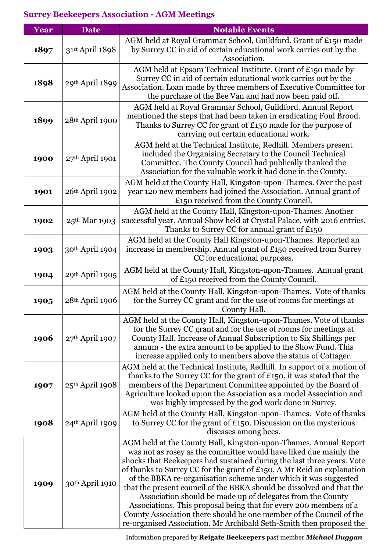| Year | <b>Date</b>       | <b>Notable Events</b>                                                                                                                                                                                                                                                                                                                                                                                                                                                                                                                                                                                                                                                                                                  |
|------|-------------------|------------------------------------------------------------------------------------------------------------------------------------------------------------------------------------------------------------------------------------------------------------------------------------------------------------------------------------------------------------------------------------------------------------------------------------------------------------------------------------------------------------------------------------------------------------------------------------------------------------------------------------------------------------------------------------------------------------------------|
| 1897 | 31st April 1898   | AGM held at Royal Grammar School, Guildford. Grant of £150 made<br>by Surrey CC in aid of certain educational work carries out by the<br>Association.                                                                                                                                                                                                                                                                                                                                                                                                                                                                                                                                                                  |
| 1898 | 29th April 1899   | AGM held at Epsom Technical Institute. Grant of £150 made by<br>Surrey CC in aid of certain educational work carries out by the<br>Association. Loan made by three members of Executive Committee for<br>the purchase of the Bee Van and had now been paid off.                                                                                                                                                                                                                                                                                                                                                                                                                                                        |
| 1899 | 28th April 1900   | AGM held at Royal Grammar School, Guildford. Annual Report<br>mentioned the steps that had been taken in eradicating Foul Brood.<br>Thanks to Surrey CC for grant of £150 made for the purpose of<br>carrying out certain educational work.                                                                                                                                                                                                                                                                                                                                                                                                                                                                            |
| 1900 | 27th April 1901   | AGM held at the Technical Institute, Redhill. Members present<br>included the Organising Secretary to the Council Technical<br>Committee. The County Council had publically thanked the<br>Association for the valuable work it had done in the County.                                                                                                                                                                                                                                                                                                                                                                                                                                                                |
| 1901 | 26th April 1902   | AGM held at the County Hall, Kingston-upon-Thames. Over the past<br>year 120 new members had joined the Association. Annual grant of<br>£150 received from the County Council.                                                                                                                                                                                                                                                                                                                                                                                                                                                                                                                                         |
| 1902 | 25th Mar 1903     | AGM held at the County Hall, Kingston-upon-Thames. Another<br>successful year. Annual Show held at Crystal Palace, with 2016 entries.<br>Thanks to Surrey CC for annual grant of £150                                                                                                                                                                                                                                                                                                                                                                                                                                                                                                                                  |
| 1903 | 30th April 1904   | AGM held at the County Hall Kingston-upon-Thames. Reported an<br>increase in membership. Annual grant of £150 received from Surrey<br>CC for educational purposes.                                                                                                                                                                                                                                                                                                                                                                                                                                                                                                                                                     |
| 1904 | 29th April 1905   | AGM held at the County Hall, Kingston-upon-Thames. Annual grant<br>of £150 received from the County Council.                                                                                                                                                                                                                                                                                                                                                                                                                                                                                                                                                                                                           |
| 1905 | 28th April 1906   | AGM held at the County Hall, Kingston-upon-Thames. Vote of thanks<br>for the Surrey CC grant and for the use of rooms for meetings at<br>County Hall.                                                                                                                                                                                                                                                                                                                                                                                                                                                                                                                                                                  |
| 1906 | $27th$ April 1907 | AGM held at the County Hall, Kingston-upon-Thames. Vote of thanks<br>for the Surrey CC grant and for the use of rooms for meetings at<br>County Hall. Increase of Annual Subscription to Six Shillings per<br>annum - the extra amount to be applied to the Show Fund. This<br>increase applied only to members above the status of Cottager.                                                                                                                                                                                                                                                                                                                                                                          |
| 1907 | 25th April 1908   | AGM held at the Technical Institute, Redhill. In support of a motion of<br>thanks to the Surrey CC for the grant of £150, it was stated that the<br>members of the Department Committee appointed by the Board of<br>Agriculture looked up; on the Association as a model Association and<br>was highly impressed by the god work done in Surrey.                                                                                                                                                                                                                                                                                                                                                                      |
| 1908 | $24th$ April 1909 | AGM held at the County Hall, Kingston-upon-Thames. Vote of thanks<br>to Surrey CC for the grant of £150. Discussion on the mysterious<br>diseases among bees.                                                                                                                                                                                                                                                                                                                                                                                                                                                                                                                                                          |
| 1909 | 30th April 1910   | AGM held at the County Hall, Kingston-upon-Thames. Annual Report<br>was not as rosey as the committee would have liked due mainly the<br>shocks that Beekeepers had sustained during the last three years. Vote<br>of thanks to Surrey CC for the grant of £150. A Mr Reid an explanation<br>of the BBKA re-organisation scheme under which it was suggested<br>that the present council of the BBKA should be dissolved and that the<br>Association should be made up of delegates from the County<br>Associations. This proposal being that for every 200 members of a<br>County Association there should be one member of the Council of the<br>re-organised Association. Mr Archibald Seth-Smith then proposed the |

Information prepared by **Reigate Beekeepers** past member *Michael Duggan*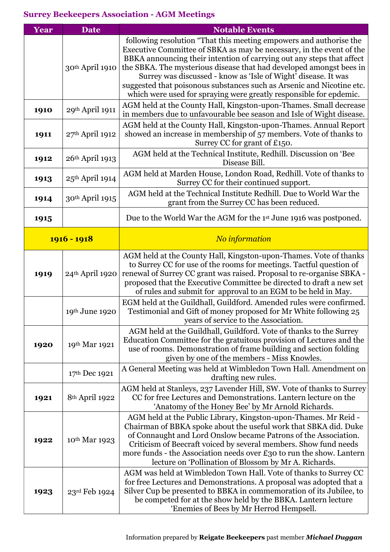| Year | <b>Date</b>       | <b>Notable Events</b>                                                                                                                                                                                                                                                                                                                                                                                                                                                                                       |
|------|-------------------|-------------------------------------------------------------------------------------------------------------------------------------------------------------------------------------------------------------------------------------------------------------------------------------------------------------------------------------------------------------------------------------------------------------------------------------------------------------------------------------------------------------|
|      | 30th April 1910   | following resolution "That this meeting empowers and authorise the<br>Executive Committee of SBKA as may be necessary, in the event of the<br>BBKA announcing their intention of carrying out any steps that affect<br>the SBKA. The mysterious disease that had developed amongst bees in<br>Surrey was discussed - know as 'Isle of Wight' disease. It was<br>suggested that poisonous substances such as Arsenic and Nicotine etc.<br>which were used for spraying were greatly responsible for epdemic. |
| 1910 | 29th April 1911   | AGM held at the County Hall, Kingston-upon-Thames. Small decrease<br>in members due to unfavourable bee season and Isle of Wight disease.                                                                                                                                                                                                                                                                                                                                                                   |
| 1911 | 27th April 1912   | AGM held at the County Hall, Kingston-upon-Thames. Annual Report<br>showed an increase in membership of 57 members. Vote of thanks to<br>Surrey CC for grant of £150.                                                                                                                                                                                                                                                                                                                                       |
| 1912 | 26th April 1913   | AGM held at the Technical Institute, Redhill. Discussion on 'Bee<br>Disease Bill.                                                                                                                                                                                                                                                                                                                                                                                                                           |
| 1913 | $25th$ April 1914 | AGM held at Marden House, London Road, Redhill. Vote of thanks to<br>Surrey CC for their continued support.                                                                                                                                                                                                                                                                                                                                                                                                 |
| 1914 | 30th April 1915   | AGM held at the Technical Institute Redhill. Due to World War the<br>grant from the Surrey CC has been reduced.                                                                                                                                                                                                                                                                                                                                                                                             |
| 1915 |                   | Due to the World War the AGM for the 1st June 1916 was postponed.                                                                                                                                                                                                                                                                                                                                                                                                                                           |
|      | $1916 - 1918$     | No information                                                                                                                                                                                                                                                                                                                                                                                                                                                                                              |
| 1919 | 24th April 1920   | AGM held at the County Hall, Kingston-upon-Thames. Vote of thanks<br>to Surrey CC for use of the rooms for meetings. Tactful question of<br>renewal of Surrey CC grant was raised. Proposal to re-organise SBKA -<br>proposed that the Executive Committee be directed to draft a new set<br>of rules and submit for approval to an EGM to be held in May.                                                                                                                                                  |
|      | 19th June 1920    | EGM held at the Guildhall, Guildford. Amended rules were confirmed.<br>Testimonial and Gift of money proposed for Mr White following 25<br>years of service to the Association.                                                                                                                                                                                                                                                                                                                             |
| 1920 | 19th Mar 1921     | AGM held at the Guildhall, Guildford. Vote of thanks to the Surrey<br>Education Committee for the gratuitous provision of Lectures and the<br>use of rooms. Demonstration of frame building and section folding<br>given by one of the members - Miss Knowles.                                                                                                                                                                                                                                              |
|      | 17th Dec 1921     | A General Meeting was held at Wimbledon Town Hall. Amendment on<br>drafting new rules.                                                                                                                                                                                                                                                                                                                                                                                                                      |
| 1921 | 8th April 1922    | AGM held at Stanleys, 237 Lavender Hill, SW. Vote of thanks to Surrey<br>CC for free Lectures and Demonstrations. Lantern lecture on the<br>'Anatomy of the Honey Bee' by Mr Arnold Richards.                                                                                                                                                                                                                                                                                                               |
| 1922 | 10th Mar 1923     | AGM held at the Public Library, Kingston-upon-Thames. Mr Reid -<br>Chairman of BBKA spoke about the useful work that SBKA did. Duke<br>of Connaught and Lord Onslow became Patrons of the Association.<br>Criticism of Beecraft voiced by several members. Show fund needs<br>more funds - the Association needs over £30 to run the show. Lantern<br>lecture on 'Pollination of Blossom by Mr A. Richards.                                                                                                 |
| 1923 | 23rd Feb 1924     | AGM was held at Wimbledon Town Hall. Vote of thanks to Surrey CC<br>for free Lectures and Demonstrations. A proposal was adopted that a<br>Silver Cup be presented to BBKA in commemoration of its Jubilee, to<br>be competed for at the show held by the BBKA. Lantern lecture<br>'Enemies of Bees by Mr Herrod Hempsell.                                                                                                                                                                                  |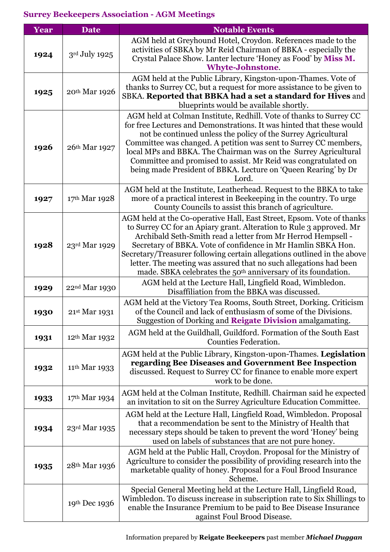| Year | <b>Date</b>               | <b>Notable Events</b>                                                                                                                                                                                                                                                                                                                                                                                                                                                                                     |
|------|---------------------------|-----------------------------------------------------------------------------------------------------------------------------------------------------------------------------------------------------------------------------------------------------------------------------------------------------------------------------------------------------------------------------------------------------------------------------------------------------------------------------------------------------------|
| 1924 | 3rd July 1925             | AGM held at Greyhound Hotel, Croydon. References made to the<br>activities of SBKA by Mr Reid Chairman of BBKA - especially the<br>Crystal Palace Show. Lanter lecture 'Honey as Food' by Miss M.<br><b>Whyte-Johnstone.</b>                                                                                                                                                                                                                                                                              |
| 1925 | 20th Mar 1926             | AGM held at the Public Library, Kingston-upon-Thames. Vote of<br>thanks to Surrey CC, but a request for more assistance to be given to<br>SBKA. Reported that BBKA had a set a standard for Hives and<br>blueprints would be available shortly.                                                                                                                                                                                                                                                           |
| 1926 | 26th Mar 1927             | AGM held at Colman Institute, Redhill. Vote of thanks to Surrey CC<br>for free Lectures and Demonstrations. It was hinted that these would<br>not be continued unless the policy of the Surrey Agricultural<br>Committee was changed. A petition was sent to Surrey CC members,<br>local MPs and BBKA. The Chairman was on the Surrey Agricultural<br>Committee and promised to assist. Mr Reid was congratulated on<br>being made President of BBKA. Lecture on 'Queen Rearing' by Dr<br>Lord.           |
| 1927 | 17th Mar 1928             | AGM held at the Institute, Leatherhead. Request to the BBKA to take<br>more of a practical interest in Beekeeping in the country. To urge<br>County Councils to assist this branch of agriculture.                                                                                                                                                                                                                                                                                                        |
| 1928 | 23rd Mar 1929             | AGM held at the Co-operative Hall, East Street, Epsom. Vote of thanks<br>to Surrey CC for an Apiary grant. Alteration to Rule 3 approved. Mr<br>Archibald Seth-Smith read a letter from Mr Herrod Hempsell -<br>Secretary of BBKA. Vote of confidence in Mr Hamlin SBKA Hon.<br>Secretary/Treasurer following certain allegations outlined in the above<br>letter. The meeting was assured that no such allegations had been<br>made. SBKA celebrates the 50 <sup>th</sup> anniversary of its foundation. |
| 1929 | 22nd Mar 1930             | AGM held at the Lecture Hall, Lingfield Road, Wimbledon.<br>Disaffiliation from the BBKA was discussed.                                                                                                                                                                                                                                                                                                                                                                                                   |
| 1930 | 21st Mar 1931             | AGM held at the Victory Tea Rooms, South Street, Dorking. Criticism<br>of the Council and lack of enthusiasm of some of the Divisions.<br>Suggestion of Dorking and Reigate Division amalgamating.                                                                                                                                                                                                                                                                                                        |
| 1931 | 12 <sup>th</sup> Mar 1932 | AGM held at the Guildhall, Guildford. Formation of the South East<br><b>Counties Federation.</b>                                                                                                                                                                                                                                                                                                                                                                                                          |
| 1932 | 11 <sup>th</sup> Mar 1933 | AGM held at the Public Library, Kingston-upon-Thames. Legislation<br>regarding Bee Diseases and Government Bee Inspection<br>discussed. Request to Surrey CC for finance to enable more expert<br>work to be done.                                                                                                                                                                                                                                                                                        |
| 1933 | 17th Mar 1934             | AGM held at the Colman Institute, Redhill. Chairman said he expected<br>an invitation to sit on the Surrey Agriculture Education Committee.                                                                                                                                                                                                                                                                                                                                                               |
| 1934 | 23rd Mar 1935             | AGM held at the Lecture Hall, Lingfield Road, Wimbledon. Proposal<br>that a recommendation be sent to the Ministry of Health that<br>necessary steps should be taken to prevent the word 'Honey' being<br>used on labels of substances that are not pure honey.                                                                                                                                                                                                                                           |
| 1935 | 28th Mar 1936             | AGM held at the Public Hall, Croydon. Proposal for the Ministry of<br>Agriculture to consider the possibility of providing research into the<br>marketable quality of honey. Proposal for a Foul Brood Insurance<br>Scheme.                                                                                                                                                                                                                                                                               |
|      | 19th Dec 1936             | Special General Meeting held at the Lecture Hall, Lingfield Road,<br>Wimbledon. To discuss increase in subscription rate to Six Shillings to<br>enable the Insurance Premium to be paid to Bee Disease Insurance<br>against Foul Brood Disease.                                                                                                                                                                                                                                                           |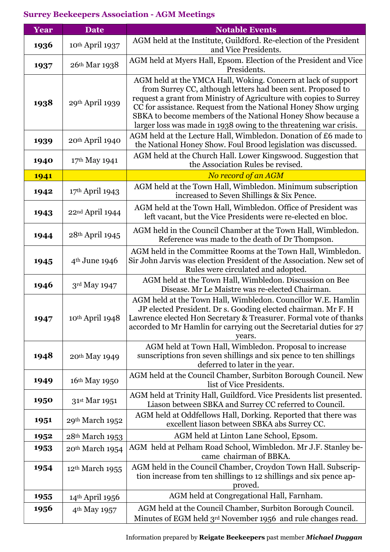| Year | <b>Date</b>                 | <b>Notable Events</b>                                                                                                                                                                                                                                                                                                                                                                                    |
|------|-----------------------------|----------------------------------------------------------------------------------------------------------------------------------------------------------------------------------------------------------------------------------------------------------------------------------------------------------------------------------------------------------------------------------------------------------|
| 1936 | 10th April 1937             | AGM held at the Institute, Guildford. Re-election of the President<br>and Vice Presidents.                                                                                                                                                                                                                                                                                                               |
| 1937 | 26th Mar 1938               | AGM held at Myers Hall, Epsom. Election of the President and Vice<br>Presidents.                                                                                                                                                                                                                                                                                                                         |
| 1938 | 29th April 1939             | AGM held at the YMCA Hall, Woking. Concern at lack of support<br>from Surrey CC, although letters had been sent. Proposed to<br>request a grant from Ministry of Agriculture with copies to Surrey<br>CC for assistance. Request from the National Honey Show urging<br>SBKA to become members of the National Honey Show because a<br>larger loss was made in 1938 owing to the threatening war crisis. |
| 1939 | 20th April 1940             | AGM held at the Lecture Hall, Wimbledon. Donation of £6 made to<br>the National Honey Show. Foul Brood legislation was discussed.                                                                                                                                                                                                                                                                        |
| 1940 | 17th May 1941               | AGM held at the Church Hall. Lower Kingswood. Suggestion that<br>the Association Rules be revised.                                                                                                                                                                                                                                                                                                       |
| 1941 |                             | No record of an AGM                                                                                                                                                                                                                                                                                                                                                                                      |
| 1942 | 17th April 1943             | AGM held at the Town Hall, Wimbledon. Minimum subscription<br>increased to Seven Shillings & Six Pence.                                                                                                                                                                                                                                                                                                  |
| 1943 | 22nd April 1944             | AGM held at the Town Hall, Wimbledon. Office of President was<br>left vacant, but the Vice Presidents were re-elected en bloc.                                                                                                                                                                                                                                                                           |
| 1944 | 28th April 1945             | AGM held in the Council Chamber at the Town Hall, Wimbledon.<br>Reference was made to the death of Dr Thompson.                                                                                                                                                                                                                                                                                          |
| 1945 | 4 <sup>th</sup> June 1946   | AGM held in the Committee Rooms at the Town Hall, Wimbledon.<br>Sir John Jarvis was election President of the Association. New set of<br>Rules were circulated and adopted.                                                                                                                                                                                                                              |
| 1946 | 3rd May 1947                | AGM held at the Town Hall, Wimbledon. Discussion on Bee<br>Disease. Mr Le Maistre was re-elected Chairman.                                                                                                                                                                                                                                                                                               |
| 1947 | 10th April 1948             | AGM held at the Town Hall, Wimbledon. Councillor W.E. Hamlin<br>JP elected President. Dr s. Gooding elected chairman. Mr F. H<br>Lawrence elected Hon Secretary & Treasurer. Formal vote of thanks<br>accorded to Mr Hamlin for carrying out the Secretarial duties for 27<br>years.                                                                                                                     |
| 1948 | 20th May 1949               | AGM held at Town Hall, Wimbledon. Proposal to increase<br>sunscriptions fron seven shillings and six pence to ten shillings<br>deferred to later in the year.                                                                                                                                                                                                                                            |
| 1949 | 16th May 1950               | AGM held at the Council Chamber, Surbiton Borough Council. New<br>list of Vice Presidents.                                                                                                                                                                                                                                                                                                               |
| 1950 | 31st Mar 1951               | AGM held at Trinity Hall, Guildford. Vice Presidents list presented.<br>Liason between SBKA and Surrey CC referred to Council.                                                                                                                                                                                                                                                                           |
| 1951 | 29th March 1952             | AGM held at Oddfellows Hall, Dorking. Reported that there was<br>excellent liason between SBKA abs Surrey CC.                                                                                                                                                                                                                                                                                            |
| 1952 | 28th March 1953             | AGM held at Linton Lane School, Epsom.                                                                                                                                                                                                                                                                                                                                                                   |
| 1953 | 20th March 1954             | AGM held at Pelham Road School, Wimbledon. Mr J.F. Stanley be-<br>came chairman of BBKA.                                                                                                                                                                                                                                                                                                                 |
| 1954 | 12 <sup>th</sup> March 1955 | AGM held in the Council Chamber, Croydon Town Hall. Subscrip-<br>tion increase from ten shillings to 12 shillings and six pence ap-<br>proved.                                                                                                                                                                                                                                                           |
| 1955 | 14th April 1956             | AGM held at Congregational Hall, Farnham.                                                                                                                                                                                                                                                                                                                                                                |
| 1956 | 4 <sup>th</sup> May 1957    | AGM held at the Council Chamber, Surbiton Borough Council.<br>Minutes of EGM held 3rd November 1956 and rule changes read.                                                                                                                                                                                                                                                                               |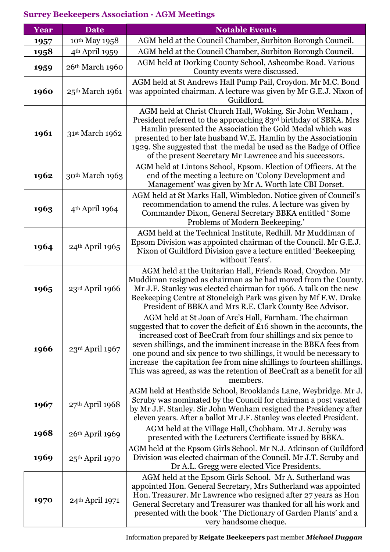| Year | <b>Date</b>                | <b>Notable Events</b>                                                                                                                                                                                                                                                                                                                                                                                                                                                                                          |
|------|----------------------------|----------------------------------------------------------------------------------------------------------------------------------------------------------------------------------------------------------------------------------------------------------------------------------------------------------------------------------------------------------------------------------------------------------------------------------------------------------------------------------------------------------------|
| 1957 | 10th May 1958              | AGM held at the Council Chamber, Surbiton Borough Council.                                                                                                                                                                                                                                                                                                                                                                                                                                                     |
| 1958 | 4 <sup>th</sup> April 1959 | AGM held at the Council Chamber, Surbiton Borough Council.                                                                                                                                                                                                                                                                                                                                                                                                                                                     |
| 1959 | 26th March 1960            | AGM held at Dorking County School, Ashcombe Road. Various<br>County events were discussed.                                                                                                                                                                                                                                                                                                                                                                                                                     |
| 1960 | 25th March 1961            | AGM held at St Andrews Hall Pump Pail, Croydon. Mr M.C. Bond<br>was appointed chairman. A lecture was given by Mr G.E.J. Nixon of<br>Guildford.                                                                                                                                                                                                                                                                                                                                                                |
| 1961 | 31st March 1962            | AGM held at Christ Church Hall, Woking. Sir John Wenham,<br>President referred to the approaching 83rd birthday of SBKA. Mrs<br>Hamlin presented the Association the Gold Medal which was<br>presented to her late husband W.E. Hamlin by the Association in<br>1929. She suggested that the medal be used as the Badge of Office<br>of the present Secretary Mr Lawrence and his successors.                                                                                                                  |
| 1962 | 30th March 1963            | AGM held at Lintons School, Epsom. Election of Officers. At the<br>end of the meeting a lecture on 'Colony Development and<br>Management' was given by Mr A. Worth late CBI Dorset.                                                                                                                                                                                                                                                                                                                            |
| 1963 | 4 <sup>th</sup> April 1964 | AGM held at St Marks Hall, Wimbledon. Notice given of Council's<br>recommendation to amend the rules. A lecture was given by<br>Commander Dixon, General Secretary BBKA entitled 'Some<br>Problems of Modern Beekeeping.'                                                                                                                                                                                                                                                                                      |
| 1964 | 24th April 1965            | AGM held at the Technical Institute, Redhill. Mr Muddiman of<br>Epsom Division was appointed chairman of the Council. Mr G.E.J.<br>Nixon of Guildford Division gave a lecture entitled 'Beekeeping<br>without Tears'.                                                                                                                                                                                                                                                                                          |
| 1965 | 23rd April 1966            | AGM held at the Unitarian Hall, Friends Road, Croydon. Mr<br>Muddiman resigned as chairman as he had moved from the County.<br>Mr J.F. Stanley was elected chairman for 1966. A talk on the new<br>Beekeeping Centre at Stoneleigh Park was given by Mf F.W. Drake<br>President of BBKA and Mrs R.E. Clark County Bee Advisor.                                                                                                                                                                                 |
| 1966 | 23rd April 1967            | AGM held at St Joan of Arc's Hall, Farnham. The chairman<br>suggested that to cover the deficit of £16 shown in the accounts, the<br>increased cost of BeeCraft from four shillings and six pence to<br>seven shillings, and the imminent increase in the BBKA fees from<br>one pound and six pence to two shillings, it would be necessary to<br>increase the capitation fee from nine shillings to fourteen shillings.<br>This was agreed, as was the retention of BeeCraft as a benefit for all<br>members. |
| 1967 | $27th$ April 1968          | AGM held at Heathside School, Brooklands Lane, Weybridge. Mr J.<br>Scruby was nominated by the Council for chairman a post vacated<br>by Mr J.F. Stanley. Sir John Wenham resigned the Presidency after<br>eleven years. After a ballot Mr J.F. Stanley was elected President.                                                                                                                                                                                                                                 |
| 1968 | 26th April 1969            | AGM held at the Village Hall, Chobham. Mr J. Scruby was<br>presented with the Lecturers Certificate issued by BBKA.                                                                                                                                                                                                                                                                                                                                                                                            |
| 1969 | 25th April 1970            | AGM held at the Epsom Girls School. Mr N.J. Atkinson of Guildford<br>Division was elected chairman of the Council. Mr J.T. Scruby and<br>Dr A.L. Gregg were elected Vice Presidents.                                                                                                                                                                                                                                                                                                                           |
| 1970 | 24th April 1971            | AGM held at the Epsom Girls School. Mr A. Sutherland was<br>appointed Hon. General Secretary, Mrs Sutherland was appointed<br>Hon. Treasurer. Mr Lawrence who resigned after 27 years as Hon<br>General Secretary and Treasurer was thanked for all his work and<br>presented with the book 'The Dictionary of Garden Plants' and a<br>very handsome cheque.                                                                                                                                                   |